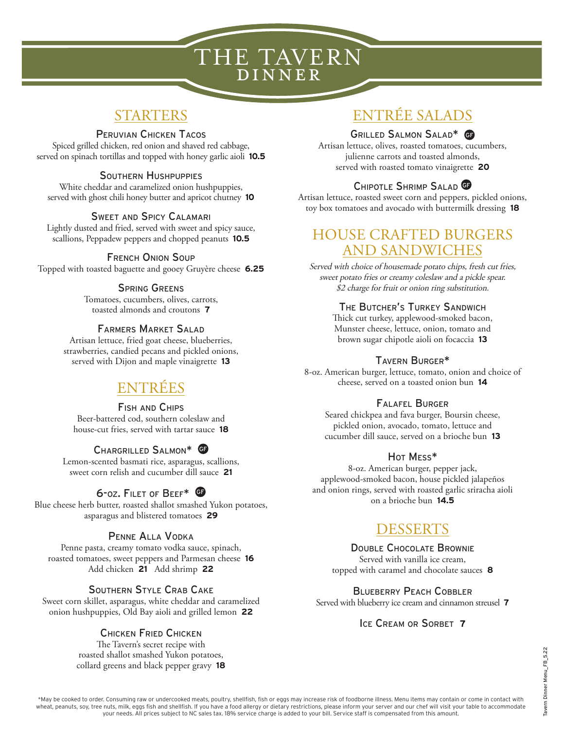# THE TAVERN DINNER

## STARTERS

### Peruvian Chicken Tacos

Spiced grilled chicken, red onion and shaved red cabbage, served on spinach tortillas and topped with honey garlic aioli **10.5**

### Southern Hushpuppies

White cheddar and caramelized onion hushpuppies, served with ghost chili honey butter and apricot chutney **10**

### Sweet and Spicy Calamari

Lightly dusted and fried, served with sweet and spicy sauce, scallions, Peppadew peppers and chopped peanuts **10.5**

### French Onion Soup

Topped with toasted baguette and gooey Gruyère cheese **6.25**

### Spring Greens

Tomatoes, cucumbers, olives, carrots, toasted almonds and croutons **7**

### Farmers Market Salad

Artisan lettuce, fried goat cheese, blueberries, strawberries, candied pecans and pickled onions, served with Dijon and maple vinaigrette **13**

## ENTRÉES

#### Fish and Chips

Beer-battered cod, southern coleslaw and house-cut fries, served with tartar sauce **18**

### Chargrilled Salmon\* GF

Lemon-scented basmati rice, asparagus, scallions, sweet corn relish and cucumber dill sauce **21**

### 6-oz. Filet of Beef\* GF

Blue cheese herb butter, roasted shallot smashed Yukon potatoes, asparagus and blistered tomatoes **29**

### Penne Alla Vodka

Penne pasta, creamy tomato vodka sauce, spinach, roasted tomatoes, sweet peppers and Parmesan cheese **16** Add chicken **21** Add shrimp **22**

### Southern Style Crab Cake

Sweet corn skillet, asparagus, white cheddar and caramelized onion hushpuppies, Old Bay aioli and grilled lemon **22**

### Chicken Fried Chicken

The Tavern's secret recipe with roasted shallot smashed Yukon potatoes, collard greens and black pepper gravy **18**

# ENTRÉE SALADS

#### Grilled Salmon Salad\* GF

Artisan lettuce, olives, roasted tomatoes, cucumbers, julienne carrots and toasted almonds, served with roasted tomato vinaigrette **20**

### Chipotle Shrimp Salad GF

Artisan lettuce, roasted sweet corn and peppers, pickled onions, toy box tomatoes and avocado with buttermilk dressing **18**

### HOUSE CRAFTED BURGERS AND SANDWICHES

Served with choice of housemade potato chips, fresh cut fries, sweet potato fries or creamy coleslaw and a pickle spear. \$2 charge for fruit or onion ring substitution.

### The Butcher's Turkey Sandwich

Thick cut turkey, applewood-smoked bacon, Munster cheese, lettuce, onion, tomato and brown sugar chipotle aioli on focaccia **13**

### Tavern Burger\*

8-oz. American burger, lettuce, tomato, onion and choice of cheese, served on a toasted onion bun **14**

### Falafel Burger

Seared chickpea and fava burger, Boursin cheese, pickled onion, avocado, tomato, lettuce and cucumber dill sauce, served on a brioche bun **13**

### Hot Mess\*

8-oz. American burger, pepper jack, applewood-smoked bacon, house pickled jalapeños and onion rings, served with roasted garlic sriracha aioli on a brioche bun **14.5**

## **DESSERTS**

### Double Chocolate Brownie

Served with vanilla ice cream, topped with caramel and chocolate sauces **8**

### Blueberry Peach Cobbler

Served with blueberry ice cream and cinnamon streusel **7**

### Ice Cream or Sorbet **7**

May be cooked to order. Consuming raw or undercooked meats, poultry, shellfish, fish or eggs may increase risk of foodborne illness. Menu items may contain or come in contact with «theat, peanuts, soy, tree nuts, milk, egg